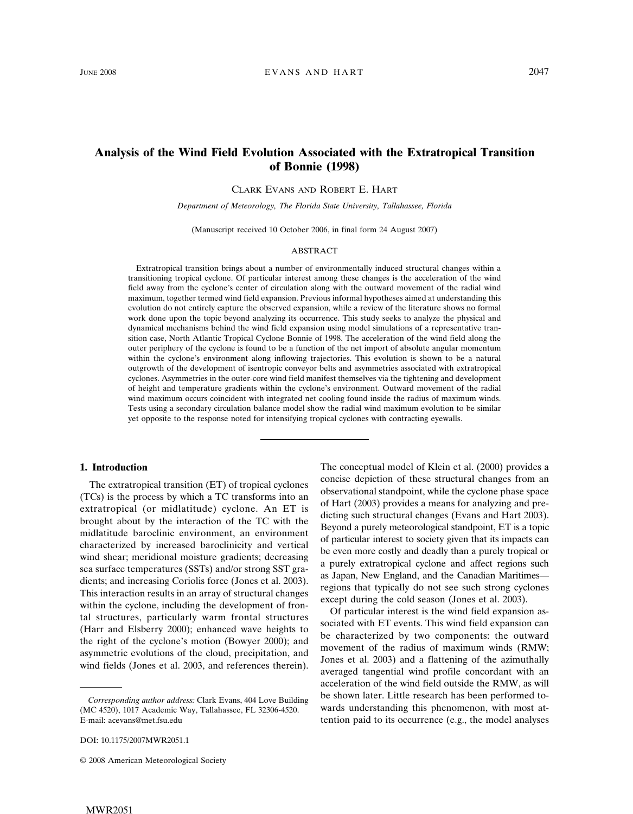# **Analysis of the Wind Field Evolution Associated with the Extratropical Transition of Bonnie (1998)**

CLARK EVANS AND ROBERT E. HART

*Department of Meteorology, The Florida State University, Tallahassee, Florida*

(Manuscript received 10 October 2006, in final form 24 August 2007)

# ABSTRACT

Extratropical transition brings about a number of environmentally induced structural changes within a transitioning tropical cyclone. Of particular interest among these changes is the acceleration of the wind field away from the cyclone's center of circulation along with the outward movement of the radial wind maximum, together termed wind field expansion. Previous informal hypotheses aimed at understanding this evolution do not entirely capture the observed expansion, while a review of the literature shows no formal work done upon the topic beyond analyzing its occurrence. This study seeks to analyze the physical and dynamical mechanisms behind the wind field expansion using model simulations of a representative transition case, North Atlantic Tropical Cyclone Bonnie of 1998. The acceleration of the wind field along the outer periphery of the cyclone is found to be a function of the net import of absolute angular momentum within the cyclone's environment along inflowing trajectories. This evolution is shown to be a natural outgrowth of the development of isentropic conveyor belts and asymmetries associated with extratropical cyclones. Asymmetries in the outer-core wind field manifest themselves via the tightening and development of height and temperature gradients within the cyclone's environment. Outward movement of the radial wind maximum occurs coincident with integrated net cooling found inside the radius of maximum winds. Tests using a secondary circulation balance model show the radial wind maximum evolution to be similar yet opposite to the response noted for intensifying tropical cyclones with contracting eyewalls.

# **1. Introduction**

The extratropical transition (ET) of tropical cyclones (TCs) is the process by which a TC transforms into an extratropical (or midlatitude) cyclone. An ET is brought about by the interaction of the TC with the midlatitude baroclinic environment, an environment characterized by increased baroclinicity and vertical wind shear; meridional moisture gradients; decreasing sea surface temperatures (SSTs) and/or strong SST gradients; and increasing Coriolis force (Jones et al. 2003). This interaction results in an array of structural changes within the cyclone, including the development of frontal structures, particularly warm frontal structures (Harr and Elsberry 2000); enhanced wave heights to the right of the cyclone's motion (Bowyer 2000); and asymmetric evolutions of the cloud, precipitation, and wind fields (Jones et al. 2003, and references therein).

DOI: 10.1175/2007MWR2051.1

The conceptual model of Klein et al. (2000) provides a concise depiction of these structural changes from an observational standpoint, while the cyclone phase space of Hart (2003) provides a means for analyzing and predicting such structural changes (Evans and Hart 2003). Beyond a purely meteorological standpoint, ET is a topic of particular interest to society given that its impacts can be even more costly and deadly than a purely tropical or a purely extratropical cyclone and affect regions such as Japan, New England, and the Canadian Maritimes regions that typically do not see such strong cyclones except during the cold season (Jones et al. 2003).

Of particular interest is the wind field expansion associated with ET events. This wind field expansion can be characterized by two components: the outward movement of the radius of maximum winds (RMW; Jones et al. 2003) and a flattening of the azimuthally averaged tangential wind profile concordant with an acceleration of the wind field outside the RMW, as will be shown later. Little research has been performed towards understanding this phenomenon, with most attention paid to its occurrence (e.g., the model analyses

*Corresponding author address:* Clark Evans, 404 Love Building (MC 4520), 1017 Academic Way, Tallahassee, FL 32306-4520. E-mail: acevans@met.fsu.edu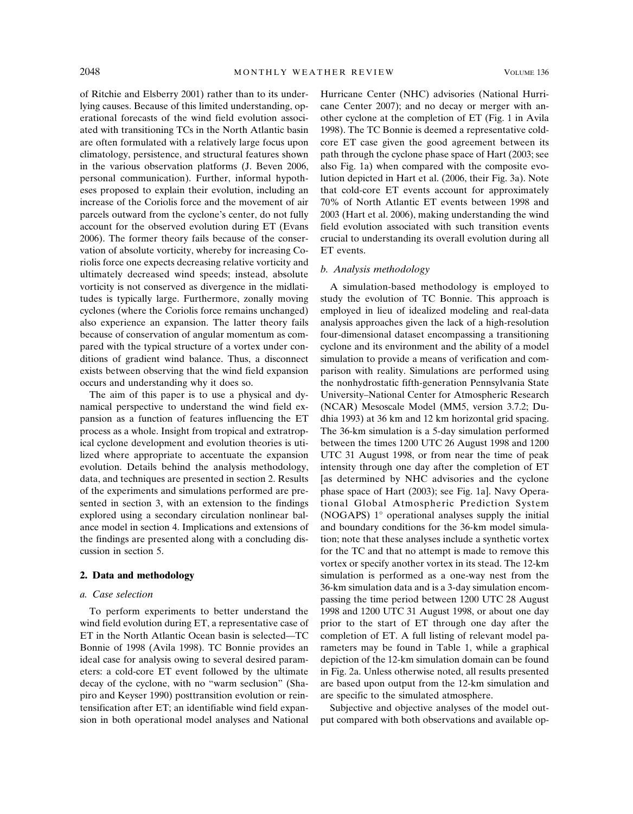of Ritchie and Elsberry 2001) rather than to its underlying causes. Because of this limited understanding, operational forecasts of the wind field evolution associated with transitioning TCs in the North Atlantic basin are often formulated with a relatively large focus upon climatology, persistence, and structural features shown in the various observation platforms (J. Beven 2006, personal communication). Further, informal hypotheses proposed to explain their evolution, including an increase of the Coriolis force and the movement of air parcels outward from the cyclone's center, do not fully account for the observed evolution during ET (Evans 2006). The former theory fails because of the conservation of absolute vorticity, whereby for increasing Coriolis force one expects decreasing relative vorticity and ultimately decreased wind speeds; instead, absolute vorticity is not conserved as divergence in the midlatitudes is typically large. Furthermore, zonally moving cyclones (where the Coriolis force remains unchanged) also experience an expansion. The latter theory fails because of conservation of angular momentum as compared with the typical structure of a vortex under conditions of gradient wind balance. Thus, a disconnect exists between observing that the wind field expansion occurs and understanding why it does so.

The aim of this paper is to use a physical and dynamical perspective to understand the wind field expansion as a function of features influencing the ET process as a whole. Insight from tropical and extratropical cyclone development and evolution theories is utilized where appropriate to accentuate the expansion evolution. Details behind the analysis methodology, data, and techniques are presented in section 2. Results of the experiments and simulations performed are presented in section 3, with an extension to the findings explored using a secondary circulation nonlinear balance model in section 4. Implications and extensions of the findings are presented along with a concluding discussion in section 5.

#### **2. Data and methodology**

### *a. Case selection*

To perform experiments to better understand the wind field evolution during ET, a representative case of ET in the North Atlantic Ocean basin is selected—TC Bonnie of 1998 (Avila 1998). TC Bonnie provides an ideal case for analysis owing to several desired parameters: a cold-core ET event followed by the ultimate decay of the cyclone, with no "warm seclusion" (Shapiro and Keyser 1990) posttransition evolution or reintensification after ET; an identifiable wind field expansion in both operational model analyses and National Hurricane Center (NHC) advisories (National Hurricane Center 2007); and no decay or merger with another cyclone at the completion of ET (Fig. 1 in Avila 1998). The TC Bonnie is deemed a representative coldcore ET case given the good agreement between its path through the cyclone phase space of Hart (2003; see also Fig. 1a) when compared with the composite evolution depicted in Hart et al. (2006, their Fig. 3a). Note that cold-core ET events account for approximately 70% of North Atlantic ET events between 1998 and 2003 (Hart et al. 2006), making understanding the wind field evolution associated with such transition events crucial to understanding its overall evolution during all ET events.

### *b. Analysis methodology*

A simulation-based methodology is employed to study the evolution of TC Bonnie. This approach is employed in lieu of idealized modeling and real-data analysis approaches given the lack of a high-resolution four-dimensional dataset encompassing a transitioning cyclone and its environment and the ability of a model simulation to provide a means of verification and comparison with reality. Simulations are performed using the nonhydrostatic fifth-generation Pennsylvania State University–National Center for Atmospheric Research (NCAR) Mesoscale Model (MM5, version 3.7.2; Dudhia 1993) at 36 km and 12 km horizontal grid spacing. The 36-km simulation is a 5-day simulation performed between the times 1200 UTC 26 August 1998 and 1200 UTC 31 August 1998, or from near the time of peak intensity through one day after the completion of ET [as determined by NHC advisories and the cyclone phase space of Hart (2003); see Fig. 1a]. Navy Operational Global Atmospheric Prediction System (NOGAPS) 1° operational analyses supply the initial and boundary conditions for the 36-km model simulation; note that these analyses include a synthetic vortex for the TC and that no attempt is made to remove this vortex or specify another vortex in its stead. The 12-km simulation is performed as a one-way nest from the 36-km simulation data and is a 3-day simulation encompassing the time period between 1200 UTC 28 August 1998 and 1200 UTC 31 August 1998, or about one day prior to the start of ET through one day after the completion of ET. A full listing of relevant model parameters may be found in Table 1, while a graphical depiction of the 12-km simulation domain can be found in Fig. 2a. Unless otherwise noted, all results presented are based upon output from the 12-km simulation and are specific to the simulated atmosphere.

Subjective and objective analyses of the model output compared with both observations and available op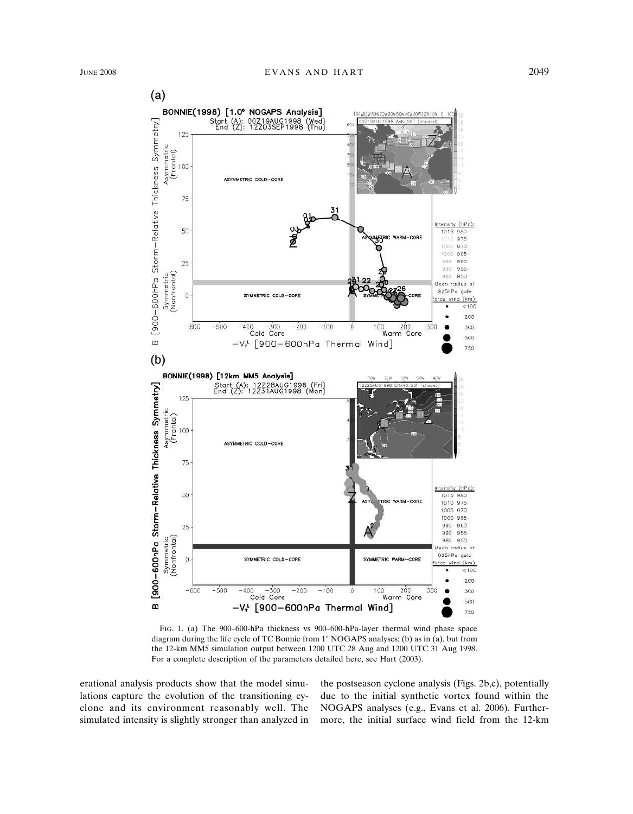$(a)$ BONNIE(1998) [1.0° NOGAPS Analysis] Start (A): 00219AUG1998 (Wed)<br>End (Z): 12Z03SEP1998 (Thu) B [900-600hPa Storm-Relative Thickness Symmetry]  $125$ Asymmetric<br>(Frontal)<br>ci ASYMMETRIC COLD-CORE 75 31 sity (hPo):  $50$ 1015 980  $975$ 1005 970 1000 965 995 950 25 990 955 Symmetric<br>(Nonfrontal) 985 950 dean radius of 925hPa gole  $\mathbb{C}$ SYMMETRIC COLD-CORE  $(km)$  $000$ 200  $-400 -300$ <br>Cold Core  $-100$ 100 - 200<br>- Warm Core  $-600$  $-500$  $-200$  $\dot{0}$ 300 300 500  $-V_r^L$  [900-600hPa Thermal Wind] 750  $(b)$ BONNIE(1998) [12km MM5 Analysis] [900-600hPa Storm-Relative Thickness Symmetry] Start (A): 12Z28AUG1998 (Fri)<br>End (Z): 12Z31AUG1998 (Mon) 125 Asymmetric<br>(Frontal) 100 ASYMMETRIC COLD-CORE 75 ntensity (hPa): 50 1015 980 **RIC WARM-CORE** 1010 975 1005 970 1000 955 995 960 25 990 955 Symmetric<br>(Nonfrontal) 985 950 ean radius of 925hPa gale SYMMETRIC WARM-CORE  $\mathbb O$ SYMMETRIC COLD-CORE  $(km)$  $< 100$ 200  $-600$  $-500$ –400 –300<br>Cold Core  $-200$  $-100$ 100 200  $\circ$ 300 300 Warm Core sco œ -VI [900-600hPa Thermal Wind] 750

FIG. 1. (a) The 900–600-hPa thickness vs 900–600-hPa-layer thermal wind phase space diagram during the life cycle of TC Bonnie from 1° NOGAPS analyses; (b) as in (a), but from the 12-km MM5 simulation output between 1200 UTC 28 Aug and 1200 UTC 31 Aug 1998. For a complete description of the parameters detailed here, see Hart (2003).

erational analysis products show that the model simulations capture the evolution of the transitioning cyclone and its environment reasonably well. The simulated intensity is slightly stronger than analyzed in

the postseason cyclone analysis (Figs. 2b,c), potentially due to the initial synthetic vortex found within the NOGAPS analyses (e.g., Evans et al. 2006). Furthermore, the initial surface wind field from the 12-km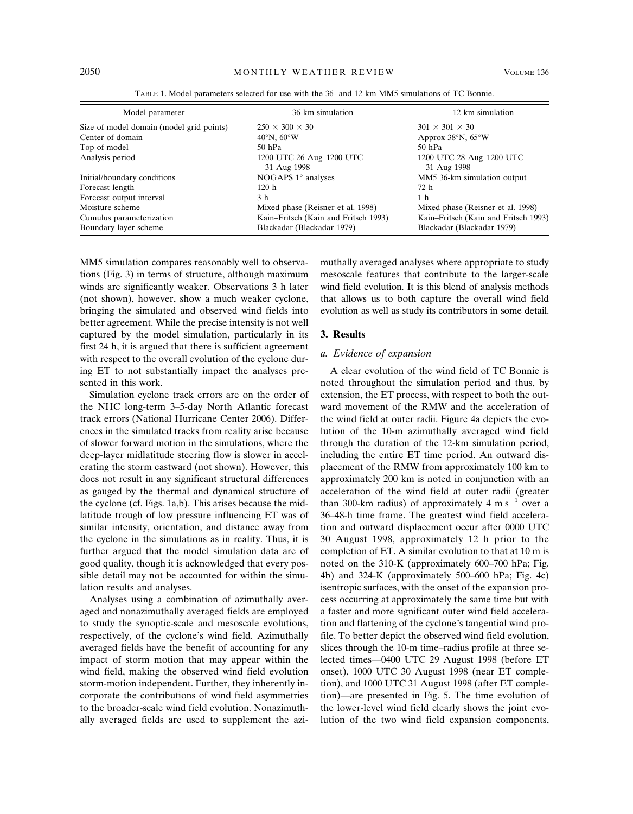| Model parameter                          | 36-km simulation                        | 12-km simulation                        |  |
|------------------------------------------|-----------------------------------------|-----------------------------------------|--|
| Size of model domain (model grid points) | $250 \times 300 \times 30$              | $301 \times 301 \times 30$              |  |
| Center of domain                         | $40^{\circ}$ N, $60^{\circ}$ W          | Approx $38^{\circ}$ N, $65^{\circ}$ W   |  |
| Top of model                             | $50$ hPa                                | $50$ hPa                                |  |
| Analysis period                          | 1200 UTC 26 Aug-1200 UTC<br>31 Aug 1998 | 1200 UTC 28 Aug-1200 UTC<br>31 Aug 1998 |  |
| Initial/boundary conditions              | NOGAPS $1^\circ$ analyses               | MM5 36-km simulation output             |  |
| Forecast length                          | 120 <sub>h</sub>                        | 72 h                                    |  |
| Forecast output interval                 | 3 h                                     | 1 <sub>h</sub>                          |  |
| Moisture scheme                          | Mixed phase (Reisner et al. 1998)       | Mixed phase (Reisner et al. 1998)       |  |
| Cumulus parameterization                 | Kain-Fritsch (Kain and Fritsch 1993)    | Kain-Fritsch (Kain and Fritsch 1993)    |  |
| Boundary layer scheme                    | Blackadar (Blackadar 1979)              | Blackadar (Blackadar 1979)              |  |

TABLE 1. Model parameters selected for use with the 36- and 12-km MM5 simulations of TC Bonnie.

MM5 simulation compares reasonably well to observations (Fig. 3) in terms of structure, although maximum winds are significantly weaker. Observations 3 h later (not shown), however, show a much weaker cyclone, bringing the simulated and observed wind fields into better agreement. While the precise intensity is not well captured by the model simulation, particularly in its first 24 h, it is argued that there is sufficient agreement with respect to the overall evolution of the cyclone during ET to not substantially impact the analyses presented in this work.

Simulation cyclone track errors are on the order of the NHC long-term 3–5-day North Atlantic forecast track errors (National Hurricane Center 2006). Differences in the simulated tracks from reality arise because of slower forward motion in the simulations, where the deep-layer midlatitude steering flow is slower in accelerating the storm eastward (not shown). However, this does not result in any significant structural differences as gauged by the thermal and dynamical structure of the cyclone (cf. Figs. 1a,b). This arises because the midlatitude trough of low pressure influencing ET was of similar intensity, orientation, and distance away from the cyclone in the simulations as in reality. Thus, it is further argued that the model simulation data are of good quality, though it is acknowledged that every possible detail may not be accounted for within the simulation results and analyses.

Analyses using a combination of azimuthally averaged and nonazimuthally averaged fields are employed to study the synoptic-scale and mesoscale evolutions, respectively, of the cyclone's wind field. Azimuthally averaged fields have the benefit of accounting for any impact of storm motion that may appear within the wind field, making the observed wind field evolution storm-motion independent. Further, they inherently incorporate the contributions of wind field asymmetries to the broader-scale wind field evolution. Nonazimuthally averaged fields are used to supplement the azimuthally averaged analyses where appropriate to study mesoscale features that contribute to the larger-scale wind field evolution. It is this blend of analysis methods that allows us to both capture the overall wind field evolution as well as study its contributors in some detail.

# **3. Results**

# *a. Evidence of expansion*

A clear evolution of the wind field of TC Bonnie is noted throughout the simulation period and thus, by extension, the ET process, with respect to both the outward movement of the RMW and the acceleration of the wind field at outer radii. Figure 4a depicts the evolution of the 10-m azimuthally averaged wind field through the duration of the 12-km simulation period, including the entire ET time period. An outward displacement of the RMW from approximately 100 km to approximately 200 km is noted in conjunction with an acceleration of the wind field at outer radii (greater than 300-km radius) of approximately 4 m  $s^{-1}$  over a 36–48-h time frame. The greatest wind field acceleration and outward displacement occur after 0000 UTC 30 August 1998, approximately 12 h prior to the completion of ET. A similar evolution to that at 10 m is noted on the 310-K (approximately 600–700 hPa; Fig. 4b) and 324-K (approximately 500–600 hPa; Fig. 4c) isentropic surfaces, with the onset of the expansion process occurring at approximately the same time but with a faster and more significant outer wind field acceleration and flattening of the cyclone's tangential wind profile. To better depict the observed wind field evolution, slices through the 10-m time–radius profile at three selected times—0400 UTC 29 August 1998 (before ET onset), 1000 UTC 30 August 1998 (near ET completion), and 1000 UTC 31 August 1998 (after ET completion)—are presented in Fig. 5. The time evolution of the lower-level wind field clearly shows the joint evolution of the two wind field expansion components,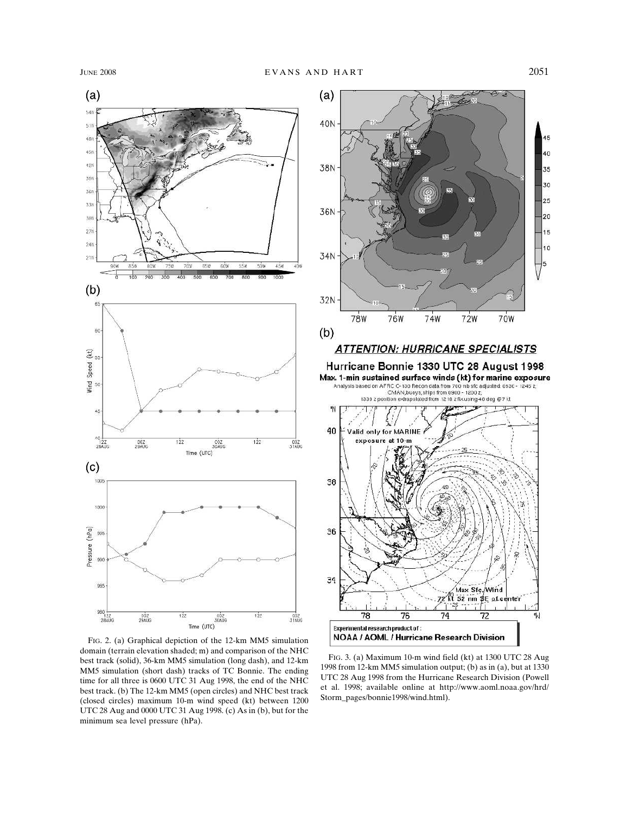$(a)$ 

40N

38N

36N

34N

45

40

35

30

25

20

15

10

5



32N **78W 76W** 74W 72W 70W  $(b)$ **ATTENTION: HURRICANE SPECIALISTS** Hurricane Bonnie 1330 UTC 28 August 1998 Max. 1-min sustained surface winds (kt) for marine exposure Analysis based on AFRC C-130 Recon data from 700 mb sfc adjusted: 0330 - 1245 z;<br>CMAN,buoys, ships from 0900 - 1200 z;<br>1330 z position extrapolated from 1218 z fix using 40 deg @7 kt  $\sqrt{ }$ 40 Valid only for MARINE exposure at 10-m 38 36 34 Max Sfc. Wind 2 kt 52 nm \$E of center 78 76 74 72 비 Experimental research product of :

FIG. 2. (a) Graphical depiction of the 12-km MM5 simulation domain (terrain elevation shaded; m) and comparison of the NHC best track (solid), 36-km MM5 simulation (long dash), and 12-km MM5 simulation (short dash) tracks of TC Bonnie. The ending time for all three is 0600 UTC 31 Aug 1998, the end of the NHC best track. (b) The 12-km MM5 (open circles) and NHC best track (closed circles) maximum 10-m wind speed (kt) between 1200 UTC 28 Aug and 0000 UTC 31 Aug 1998. (c) As in (b), but for the minimum sea level pressure (hPa).

FIG. 3. (a) Maximum 10-m wind field (kt) at 1300 UTC 28 Aug 1998 from 12-km MM5 simulation output; (b) as in (a), but at 1330 UTC 28 Aug 1998 from the Hurricane Research Division (Powell et al. 1998; available online at http://www.aoml.noaa.gov/hrd/ Storm\_pages/bonnie1998/wind.html).

NOAA / AOML / Hurricane Research Division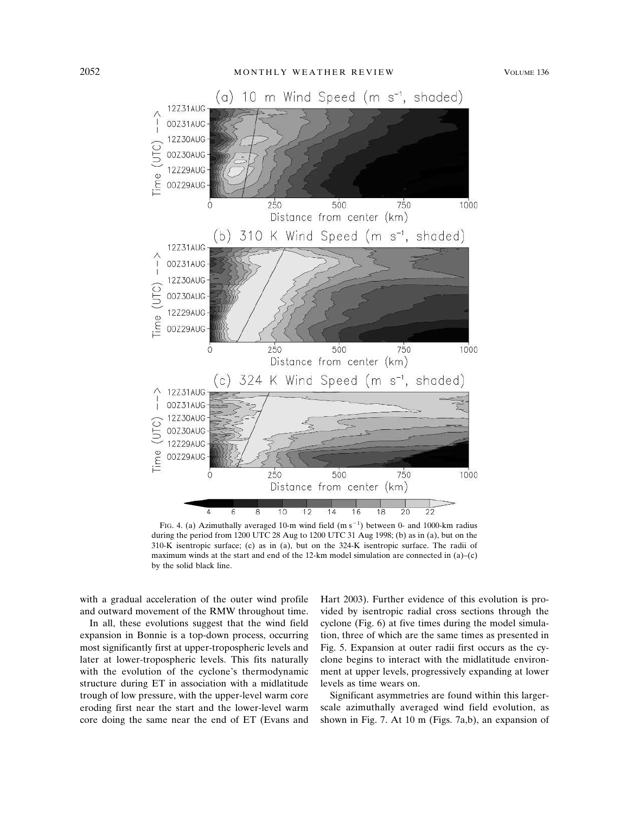

FIG. 4. (a) Azimuthally averaged 10-m wind field  $(m s^{-1})$  between 0- and 1000-km radius during the period from 1200 UTC 28 Aug to 1200 UTC 31 Aug 1998; (b) as in (a), but on the 310-K isentropic surface; (c) as in (a), but on the 324-K isentropic surface. The radii of maximum winds at the start and end of the 12-km model simulation are connected in  $(a)$ – $(c)$ by the solid black line.

with a gradual acceleration of the outer wind profile and outward movement of the RMW throughout time.

In all, these evolutions suggest that the wind field expansion in Bonnie is a top-down process, occurring most significantly first at upper-tropospheric levels and later at lower-tropospheric levels. This fits naturally with the evolution of the cyclone's thermodynamic structure during ET in association with a midlatitude trough of low pressure, with the upper-level warm core eroding first near the start and the lower-level warm core doing the same near the end of ET (Evans and Hart 2003). Further evidence of this evolution is provided by isentropic radial cross sections through the cyclone (Fig. 6) at five times during the model simulation, three of which are the same times as presented in Fig. 5. Expansion at outer radii first occurs as the cyclone begins to interact with the midlatitude environment at upper levels, progressively expanding at lower levels as time wears on.

Significant asymmetries are found within this largerscale azimuthally averaged wind field evolution, as shown in Fig. 7. At 10 m (Figs. 7a,b), an expansion of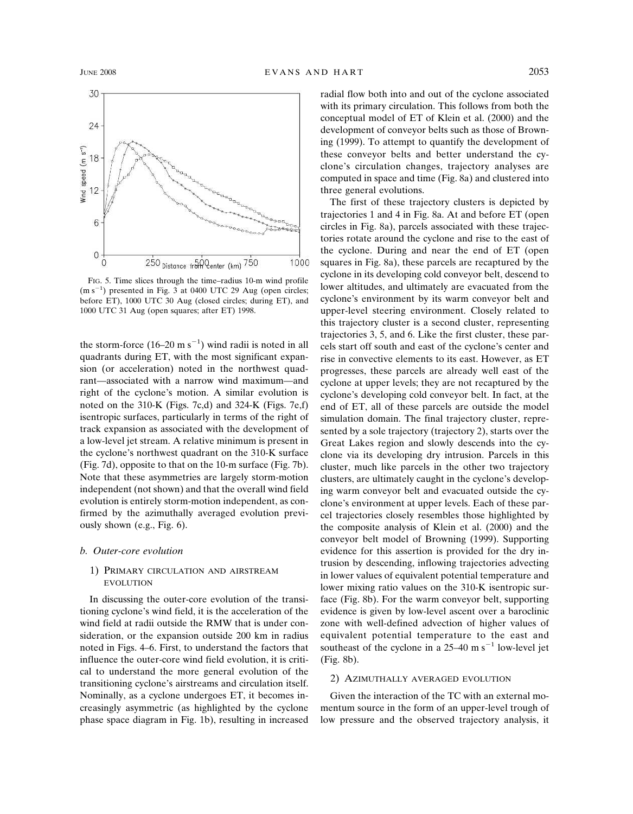

FIG. 5. Time slices through the time–radius 10-m wind profile  $(m s<sup>-1</sup>)$  presented in Fig. 3 at 0400 UTC 29 Aug (open circles; before ET), 1000 UTC 30 Aug (closed circles; during ET), and 1000 UTC 31 Aug (open squares; after ET) 1998.

the storm-force  $(16-20 \text{ m s}^{-1})$  wind radii is noted in all quadrants during ET, with the most significant expansion (or acceleration) noted in the northwest quadrant—associated with a narrow wind maximum—and right of the cyclone's motion. A similar evolution is noted on the 310-K (Figs. 7c,d) and 324-K (Figs. 7e,f) isentropic surfaces, particularly in terms of the right of track expansion as associated with the development of a low-level jet stream. A relative minimum is present in the cyclone's northwest quadrant on the 310-K surface (Fig. 7d), opposite to that on the 10-m surface (Fig. 7b). Note that these asymmetries are largely storm-motion independent (not shown) and that the overall wind field evolution is entirely storm-motion independent, as confirmed by the azimuthally averaged evolution previously shown (e.g., Fig. 6).

## *b. Outer-core evolution*

# 1) PRIMARY CIRCULATION AND AIRSTREAM EVOLUTION

In discussing the outer-core evolution of the transitioning cyclone's wind field, it is the acceleration of the wind field at radii outside the RMW that is under consideration, or the expansion outside 200 km in radius noted in Figs. 4–6. First, to understand the factors that influence the outer-core wind field evolution, it is critical to understand the more general evolution of the transitioning cyclone's airstreams and circulation itself. Nominally, as a cyclone undergoes ET, it becomes increasingly asymmetric (as highlighted by the cyclone phase space diagram in Fig. 1b), resulting in increased

radial flow both into and out of the cyclone associated with its primary circulation. This follows from both the conceptual model of ET of Klein et al. (2000) and the development of conveyor belts such as those of Browning (1999). To attempt to quantify the development of these conveyor belts and better understand the cyclone's circulation changes, trajectory analyses are computed in space and time (Fig. 8a) and clustered into three general evolutions.

The first of these trajectory clusters is depicted by trajectories 1 and 4 in Fig. 8a. At and before ET (open circles in Fig. 8a), parcels associated with these trajectories rotate around the cyclone and rise to the east of the cyclone. During and near the end of ET (open squares in Fig. 8a), these parcels are recaptured by the cyclone in its developing cold conveyor belt, descend to lower altitudes, and ultimately are evacuated from the cyclone's environment by its warm conveyor belt and upper-level steering environment. Closely related to this trajectory cluster is a second cluster, representing trajectories 3, 5, and 6. Like the first cluster, these parcels start off south and east of the cyclone's center and rise in convective elements to its east. However, as ET progresses, these parcels are already well east of the cyclone at upper levels; they are not recaptured by the cyclone's developing cold conveyor belt. In fact, at the end of ET, all of these parcels are outside the model simulation domain. The final trajectory cluster, represented by a sole trajectory (trajectory 2), starts over the Great Lakes region and slowly descends into the cyclone via its developing dry intrusion. Parcels in this cluster, much like parcels in the other two trajectory clusters, are ultimately caught in the cyclone's developing warm conveyor belt and evacuated outside the cyclone's environment at upper levels. Each of these parcel trajectories closely resembles those highlighted by the composite analysis of Klein et al. (2000) and the conveyor belt model of Browning (1999). Supporting evidence for this assertion is provided for the dry intrusion by descending, inflowing trajectories advecting in lower values of equivalent potential temperature and lower mixing ratio values on the 310-K isentropic surface (Fig. 8b). For the warm conveyor belt, supporting evidence is given by low-level ascent over a baroclinic zone with well-defined advection of higher values of equivalent potential temperature to the east and southeast of the cyclone in a  $25-40$  m s<sup>-1</sup> low-level jet (Fig. 8b).

### 2) AZIMUTHALLY AVERAGED EVOLUTION

Given the interaction of the TC with an external momentum source in the form of an upper-level trough of low pressure and the observed trajectory analysis, it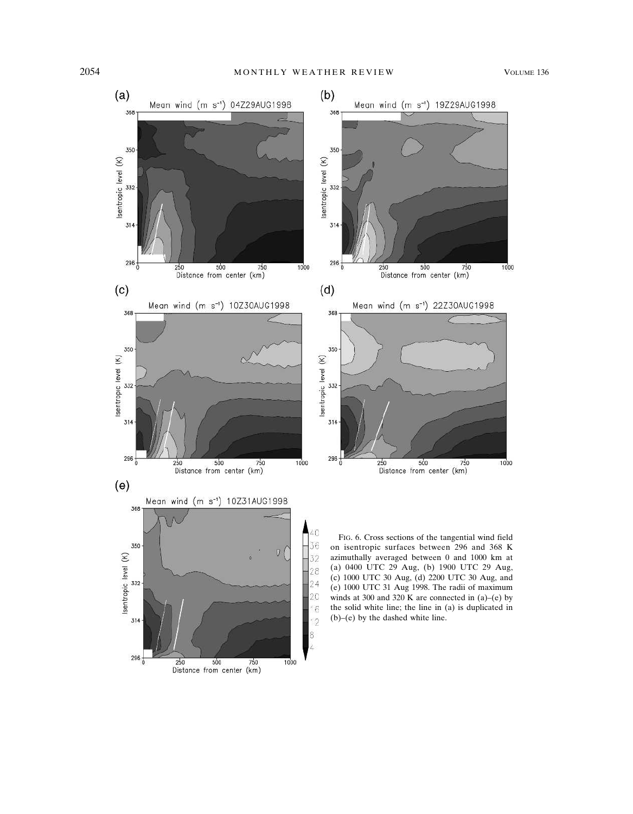

Distance from center (km)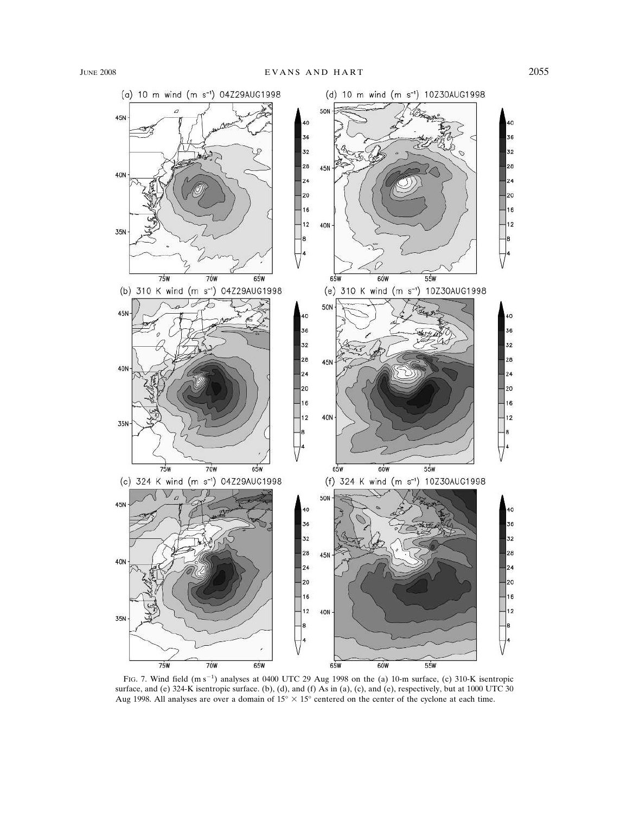

FIG. 7. Wind field  $(m s^{-1})$  analyses at 0400 UTC 29 Aug 1998 on the (a) 10-m surface, (c) 310-K isentropic surface, and (e) 324-K isentropic surface. (b), (d), and (f) As in (a), (c), and (e), respectively, but at 1000 UTC 30 Aug 1998. All analyses are over a domain of  $15^{\circ} \times 15^{\circ}$  centered on the center of the cyclone at each time.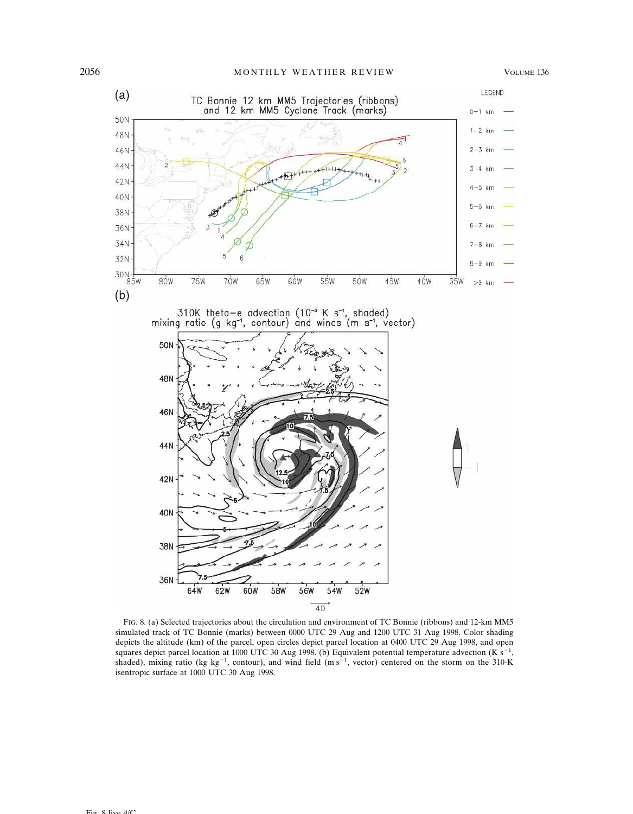

FIG. 8. (a) Selected trajectories about the circulation and environment of TC Bonnie (ribbons) and 12-km MM5 simulated track of TC Bonnie (marks) between 0000 UTC 29 Aug and 1200 UTC 31 Aug 1998. Color shading depicts the altitude (km) of the parcel, open circles depict parcel location at 0400 UTC 29 Aug 1998, and open squares depict parcel location at 1000 UTC 30 Aug 1998. (b) Equivalent potential temperature advection (K s<sup>-1</sup>, shaded), mixing ratio (kg kg<sup>-1</sup>, contour), and wind field (m s<sup>-1</sup>, vector) centered on the storm on the 310-K isentropic surface at 1000 UTC 30 Aug 1998.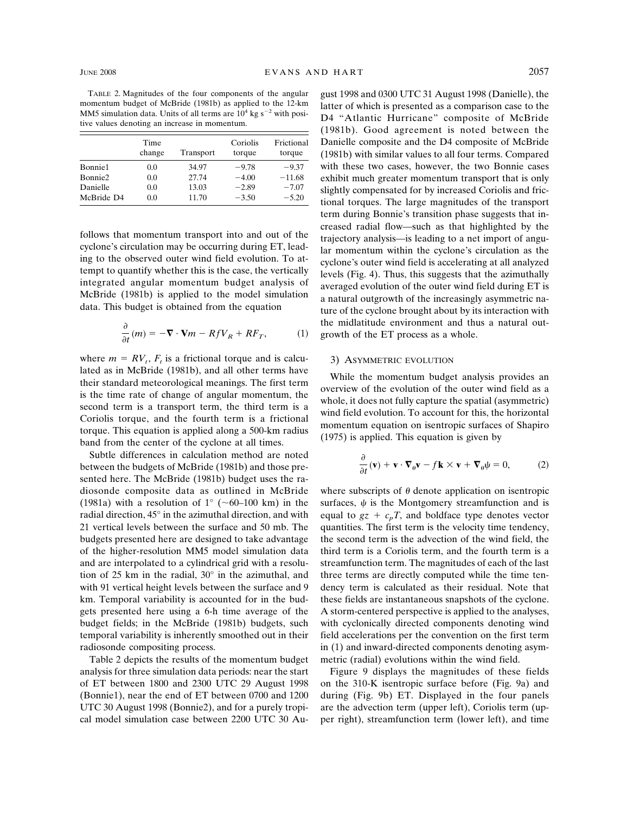TABLE 2. Magnitudes of the four components of the angular momentum budget of McBride (1981b) as applied to the 12-km MM5 simulation data. Units of all terms are  $10^4$  kg s<sup>-2</sup> with positive values denoting an increase in momentum.

|                     | Time<br>change | Transport | Coriolis<br>torque | Frictional<br>torque |
|---------------------|----------------|-----------|--------------------|----------------------|
| Bonnie1             | $0.0^{\circ}$  | 34.97     | $-9.78$            | $-9.37$              |
| Bonnie <sub>2</sub> | $0.0^{\circ}$  | 27.74     | $-4.00$            | $-11.68$             |
| Danielle            | $0.0^{\circ}$  | 13.03     | $-2.89$            | $-7.07$              |
| McBride D4          | 0.0            | 11.70     | $-3.50$            | $-5.20$              |

follows that momentum transport into and out of the cyclone's circulation may be occurring during ET, leading to the observed outer wind field evolution. To attempt to quantify whether this is the case, the vertically integrated angular momentum budget analysis of McBride (1981b) is applied to the model simulation data. This budget is obtained from the equation

$$
\frac{\partial}{\partial t}(m) = -\nabla \cdot \mathbf{V}m - RfV_R + RF_T, \tag{1}
$$

where  $m = RV_t$ ,  $F_t$  is a frictional torque and is calculated as in McBride (1981b), and all other terms have their standard meteorological meanings. The first term is the time rate of change of angular momentum, the second term is a transport term, the third term is a Coriolis torque, and the fourth term is a frictional torque. This equation is applied along a 500-km radius band from the center of the cyclone at all times.

Subtle differences in calculation method are noted between the budgets of McBride (1981b) and those presented here. The McBride (1981b) budget uses the radiosonde composite data as outlined in McBride (1981a) with a resolution of  $1^{\circ}$  (~60–100 km) in the radial direction, 45° in the azimuthal direction, and with 21 vertical levels between the surface and 50 mb. The budgets presented here are designed to take advantage of the higher-resolution MM5 model simulation data and are interpolated to a cylindrical grid with a resolution of 25 km in the radial, 30° in the azimuthal, and with 91 vertical height levels between the surface and 9 km. Temporal variability is accounted for in the budgets presented here using a 6-h time average of the budget fields; in the McBride (1981b) budgets, such temporal variability is inherently smoothed out in their radiosonde compositing process.

Table 2 depicts the results of the momentum budget analysis for three simulation data periods: near the start of ET between 1800 and 2300 UTC 29 August 1998 (Bonnie1), near the end of ET between 0700 and 1200 UTC 30 August 1998 (Bonnie2), and for a purely tropical model simulation case between 2200 UTC 30 August 1998 and 0300 UTC 31 August 1998 (Danielle), the latter of which is presented as a comparison case to the D4 "Atlantic Hurricane" composite of McBride (1981b). Good agreement is noted between the Danielle composite and the D4 composite of McBride (1981b) with similar values to all four terms. Compared with these two cases, however, the two Bonnie cases exhibit much greater momentum transport that is only slightly compensated for by increased Coriolis and frictional torques. The large magnitudes of the transport term during Bonnie's transition phase suggests that increased radial flow—such as that highlighted by the trajectory analysis—is leading to a net import of angular momentum within the cyclone's circulation as the cyclone's outer wind field is accelerating at all analyzed levels (Fig. 4). Thus, this suggests that the azimuthally averaged evolution of the outer wind field during ET is a natural outgrowth of the increasingly asymmetric nature of the cyclone brought about by its interaction with the midlatitude environment and thus a natural outgrowth of the ET process as a whole.

#### 3) ASYMMETRIC EVOLUTION

While the momentum budget analysis provides an overview of the evolution of the outer wind field as a whole, it does not fully capture the spatial (asymmetric) wind field evolution. To account for this, the horizontal momentum equation on isentropic surfaces of Shapiro (1975) is applied. This equation is given by

$$
\frac{\partial}{\partial t}(\mathbf{v}) + \mathbf{v} \cdot \nabla_{\theta} \mathbf{v} - f \mathbf{k} \times \mathbf{v} + \nabla_{\theta} \psi = 0, \tag{2}
$$

where subscripts of  $\theta$  denote application on isentropic surfaces,  $\psi$  is the Montgomery streamfunction and is equal to  $gz + c_pT$ , and boldface type denotes vector quantities. The first term is the velocity time tendency, the second term is the advection of the wind field, the third term is a Coriolis term, and the fourth term is a streamfunction term. The magnitudes of each of the last three terms are directly computed while the time tendency term is calculated as their residual. Note that these fields are instantaneous snapshots of the cyclone. A storm-centered perspective is applied to the analyses, with cyclonically directed components denoting wind field accelerations per the convention on the first term in (1) and inward-directed components denoting asymmetric (radial) evolutions within the wind field.

Figure 9 displays the magnitudes of these fields on the 310-K isentropic surface before (Fig. 9a) and during (Fig. 9b) ET. Displayed in the four panels are the advection term (upper left), Coriolis term (upper right), streamfunction term (lower left), and time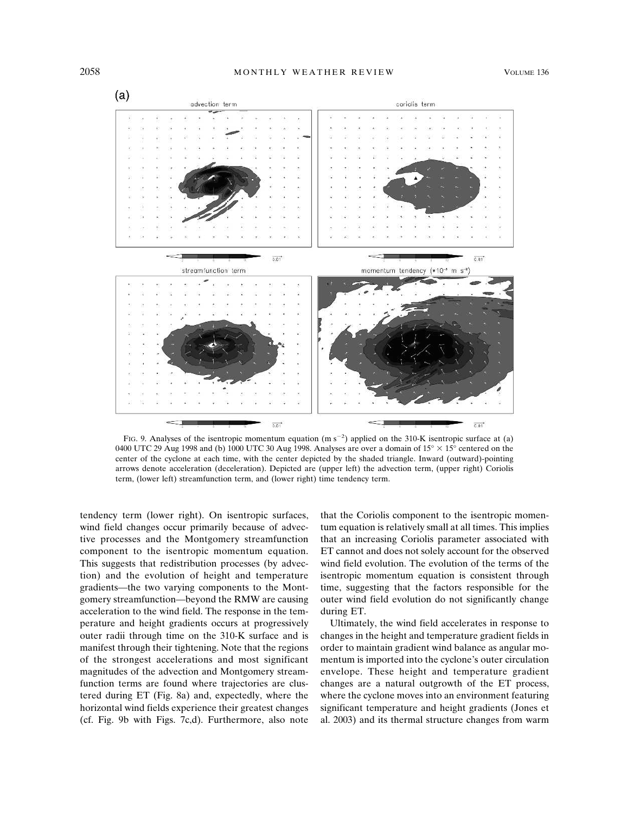

FIG. 9. Analyses of the isentropic momentum equation  $(m s^{-2})$  applied on the 310-K isentropic surface at (a) 0400 UTC 29 Aug 1998 and (b) 1000 UTC 30 Aug 1998. Analyses are over a domain of 15°  $\times$  15° centered on the center of the cyclone at each time, with the center depicted by the shaded triangle. Inward (outward)-pointing arrows denote acceleration (deceleration). Depicted are (upper left) the advection term, (upper right) Coriolis term, (lower left) streamfunction term, and (lower right) time tendency term.

tendency term (lower right). On isentropic surfaces, wind field changes occur primarily because of advective processes and the Montgomery streamfunction component to the isentropic momentum equation. This suggests that redistribution processes (by advection) and the evolution of height and temperature gradients—the two varying components to the Montgomery streamfunction—beyond the RMW are causing acceleration to the wind field. The response in the temperature and height gradients occurs at progressively outer radii through time on the 310-K surface and is manifest through their tightening. Note that the regions of the strongest accelerations and most significant magnitudes of the advection and Montgomery streamfunction terms are found where trajectories are clustered during ET (Fig. 8a) and, expectedly, where the horizontal wind fields experience their greatest changes (cf. Fig. 9b with Figs. 7c,d). Furthermore, also note

that the Coriolis component to the isentropic momentum equation is relatively small at all times. This implies that an increasing Coriolis parameter associated with ET cannot and does not solely account for the observed wind field evolution. The evolution of the terms of the isentropic momentum equation is consistent through time, suggesting that the factors responsible for the outer wind field evolution do not significantly change during ET.

Ultimately, the wind field accelerates in response to changes in the height and temperature gradient fields in order to maintain gradient wind balance as angular momentum is imported into the cyclone's outer circulation envelope. These height and temperature gradient changes are a natural outgrowth of the ET process, where the cyclone moves into an environment featuring significant temperature and height gradients (Jones et al. 2003) and its thermal structure changes from warm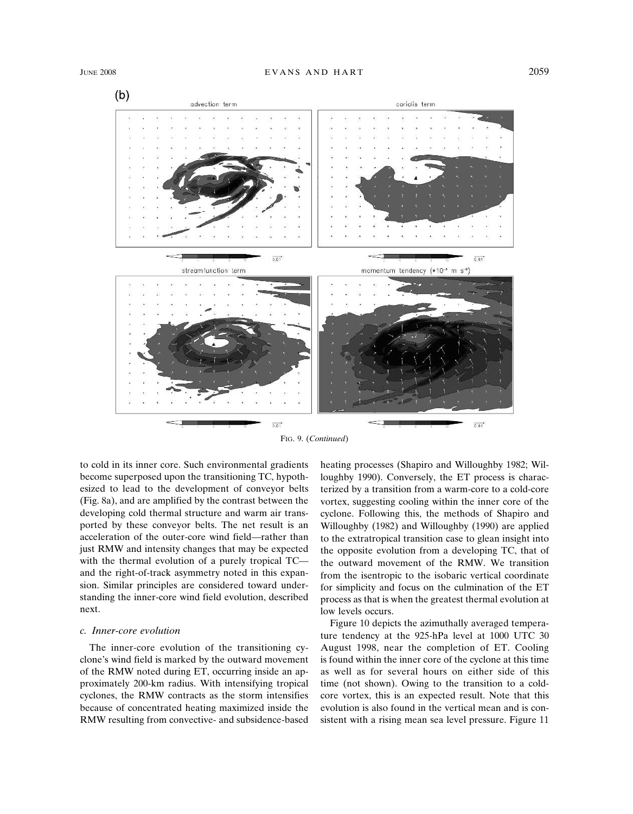

FIG. 9. (*Continued*)

to cold in its inner core. Such environmental gradients become superposed upon the transitioning TC, hypothesized to lead to the development of conveyor belts (Fig. 8a), and are amplified by the contrast between the developing cold thermal structure and warm air transported by these conveyor belts. The net result is an acceleration of the outer-core wind field—rather than just RMW and intensity changes that may be expected with the thermal evolution of a purely tropical TC and the right-of-track asymmetry noted in this expansion. Similar principles are considered toward understanding the inner-core wind field evolution, described next.

# *c. Inner-core evolution*

The inner-core evolution of the transitioning cyclone's wind field is marked by the outward movement of the RMW noted during ET, occurring inside an approximately 200-km radius. With intensifying tropical cyclones, the RMW contracts as the storm intensifies because of concentrated heating maximized inside the RMW resulting from convective- and subsidence-based

heating processes (Shapiro and Willoughby 1982; Willoughby 1990). Conversely, the ET process is characterized by a transition from a warm-core to a cold-core vortex, suggesting cooling within the inner core of the cyclone. Following this, the methods of Shapiro and Willoughby (1982) and Willoughby (1990) are applied to the extratropical transition case to glean insight into the opposite evolution from a developing TC, that of the outward movement of the RMW. We transition from the isentropic to the isobaric vertical coordinate for simplicity and focus on the culmination of the ET process as that is when the greatest thermal evolution at low levels occurs.

Figure 10 depicts the azimuthally averaged temperature tendency at the 925-hPa level at 1000 UTC 30 August 1998, near the completion of ET. Cooling is found within the inner core of the cyclone at this time as well as for several hours on either side of this time (not shown). Owing to the transition to a coldcore vortex, this is an expected result. Note that this evolution is also found in the vertical mean and is consistent with a rising mean sea level pressure. Figure 11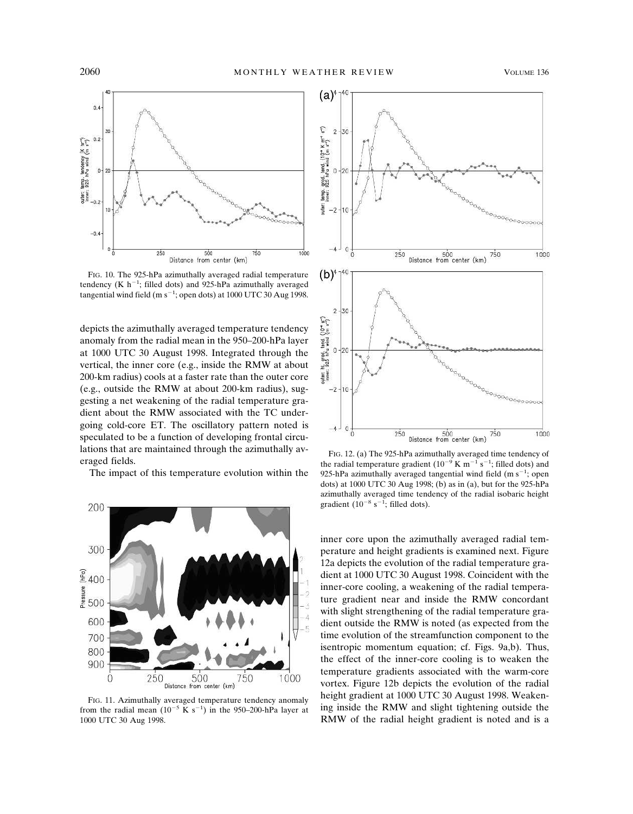

FIG. 10. The 925-hPa azimuthally averaged radial temperature tendency (K  $h^{-1}$ ; filled dots) and 925-hPa azimuthally averaged tangential wind field  $(m s^{-1})$ ; open dots) at 1000 UTC 30 Aug 1998.

depicts the azimuthally averaged temperature tendency anomaly from the radial mean in the 950–200-hPa layer at 1000 UTC 30 August 1998. Integrated through the vertical, the inner core (e.g., inside the RMW at about 200-km radius) cools at a faster rate than the outer core (e.g., outside the RMW at about 200-km radius), suggesting a net weakening of the radial temperature gradient about the RMW associated with the TC undergoing cold-core ET. The oscillatory pattern noted is speculated to be a function of developing frontal circulations that are maintained through the azimuthally averaged fields.

The impact of this temperature evolution within the



FIG. 11. Azimuthally averaged temperature tendency anomaly from the radial mean  $(10^{-5}$  K s<sup>-1</sup>) in the 950–200-hPa layer at 1000 UTC 30 Aug 1998.



FIG. 12. (a) The 925-hPa azimuthally averaged time tendency of the radial temperature gradient  $(10^{-9}$  K m<sup>-1</sup> s<sup>-1</sup>; filled dots) and 925-hPa azimuthally averaged tangential wind field  $(m s^{-1})$ ; open dots) at 1000 UTC 30 Aug 1998; (b) as in (a), but for the 925-hPa azimuthally averaged time tendency of the radial isobaric height gradient  $(10^{-8} \text{ s}^{-1})$ ; filled dots).

inner core upon the azimuthally averaged radial temperature and height gradients is examined next. Figure 12a depicts the evolution of the radial temperature gradient at 1000 UTC 30 August 1998. Coincident with the inner-core cooling, a weakening of the radial temperature gradient near and inside the RMW concordant with slight strengthening of the radial temperature gradient outside the RMW is noted (as expected from the time evolution of the streamfunction component to the isentropic momentum equation; cf. Figs. 9a,b). Thus, the effect of the inner-core cooling is to weaken the temperature gradients associated with the warm-core vortex. Figure 12b depicts the evolution of the radial height gradient at 1000 UTC 30 August 1998. Weakening inside the RMW and slight tightening outside the RMW of the radial height gradient is noted and is a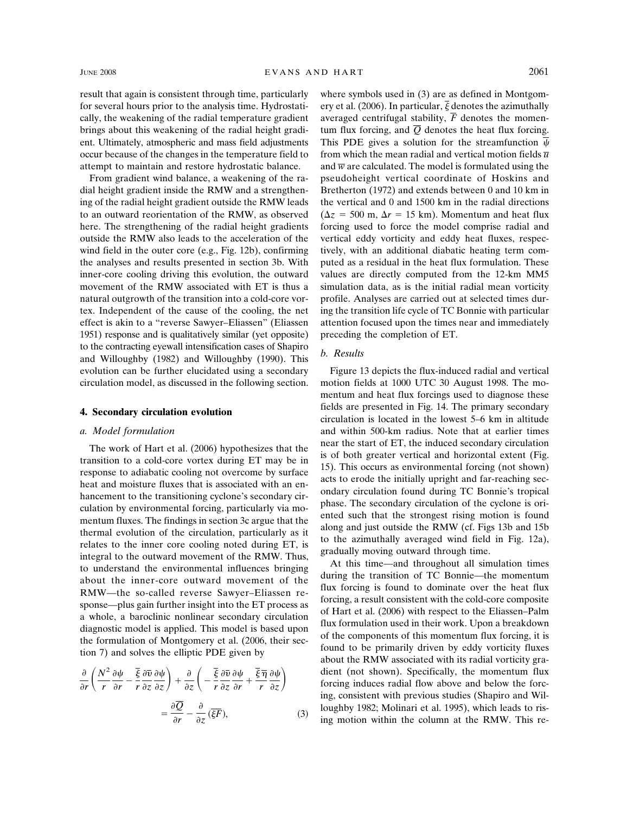result that again is consistent through time, particularly for several hours prior to the analysis time. Hydrostatically, the weakening of the radial temperature gradient brings about this weakening of the radial height gradient. Ultimately, atmospheric and mass field adjustments occur because of the changes in the temperature field to attempt to maintain and restore hydrostatic balance.

From gradient wind balance, a weakening of the radial height gradient inside the RMW and a strengthening of the radial height gradient outside the RMW leads to an outward reorientation of the RMW, as observed here. The strengthening of the radial height gradients outside the RMW also leads to the acceleration of the wind field in the outer core (e.g., Fig. 12b), confirming the analyses and results presented in section 3b. With inner-core cooling driving this evolution, the outward movement of the RMW associated with ET is thus a natural outgrowth of the transition into a cold-core vortex. Independent of the cause of the cooling, the net effect is akin to a "reverse Sawyer–Eliassen" (Eliassen 1951) response and is qualitatively similar (yet opposite) to the contracting eyewall intensification cases of Shapiro and Willoughby (1982) and Willoughby (1990). This evolution can be further elucidated using a secondary circulation model, as discussed in the following section.

#### **4. Secondary circulation evolution**

#### *a. Model formulation*

The work of Hart et al. (2006) hypothesizes that the transition to a cold-core vortex during ET may be in response to adiabatic cooling not overcome by surface heat and moisture fluxes that is associated with an enhancement to the transitioning cyclone's secondary circulation by environmental forcing, particularly via momentum fluxes. The findings in section 3c argue that the thermal evolution of the circulation, particularly as it relates to the inner core cooling noted during ET, is integral to the outward movement of the RMW. Thus, to understand the environmental influences bringing about the inner-core outward movement of the RMW—the so-called reverse Sawyer–Eliassen response—plus gain further insight into the ET process as a whole, a baroclinic nonlinear secondary circulation diagnostic model is applied. This model is based upon the formulation of Montgomery et al. (2006, their section 7) and solves the elliptic PDE given by

$$
\frac{\partial}{\partial r}\left(\frac{N^2}{r}\frac{\partial\psi}{\partial r}-\frac{\overline{\xi}}{r}\frac{\partial\overline{\upsilon}}{\partial z}\frac{\partial\psi}{\partial z}\right)+\frac{\partial}{\partial z}\left(-\frac{\overline{\xi}}{r}\frac{\partial\overline{\upsilon}}{\partial z}\frac{\partial\psi}{\partial r}+\frac{\overline{\xi}}{r}\frac{\overline{\eta}}{\partial z}\frac{\partial\psi}{\partial z}\right)
$$

$$
=\frac{\partial\overline{Q}}{\partial r}-\frac{\partial}{\partial z}(\overline{\xi}\overline{F}),\tag{3}
$$

where symbols used in (3) are as defined in Montgomery et al. (2006). In particular,  $\xi$  denotes the azimuthally averaged centrifugal stability,  $\overline{F}$  denotes the momentum flux forcing, and  $\overline{Q}$  denotes the heat flux forcing. This PDE gives a solution for the streamfunction  $\overline{\psi}$ from which the mean radial and vertical motion fields  $\bar{u}$ and  $\overline{w}$  are calculated. The model is formulated using the pseudoheight vertical coordinate of Hoskins and Bretherton (1972) and extends between 0 and 10 km in the vertical and 0 and 1500 km in the radial directions  $(\Delta z = 500 \text{ m}, \Delta r = 15 \text{ km})$ . Momentum and heat flux forcing used to force the model comprise radial and vertical eddy vorticity and eddy heat fluxes, respectively, with an additional diabatic heating term computed as a residual in the heat flux formulation. These values are directly computed from the 12-km MM5 simulation data, as is the initial radial mean vorticity profile. Analyses are carried out at selected times during the transition life cycle of TC Bonnie with particular attention focused upon the times near and immediately preceding the completion of ET.

# *b. Results*

Figure 13 depicts the flux-induced radial and vertical motion fields at 1000 UTC 30 August 1998. The momentum and heat flux forcings used to diagnose these fields are presented in Fig. 14. The primary secondary circulation is located in the lowest 5–6 km in altitude and within 500-km radius. Note that at earlier times near the start of ET, the induced secondary circulation is of both greater vertical and horizontal extent (Fig. 15). This occurs as environmental forcing (not shown) acts to erode the initially upright and far-reaching secondary circulation found during TC Bonnie's tropical phase. The secondary circulation of the cyclone is oriented such that the strongest rising motion is found along and just outside the RMW (cf. Figs 13b and 15b to the azimuthally averaged wind field in Fig. 12a), gradually moving outward through time.

At this time—and throughout all simulation times during the transition of TC Bonnie—the momentum flux forcing is found to dominate over the heat flux forcing, a result consistent with the cold-core composite of Hart et al. (2006) with respect to the Eliassen–Palm flux formulation used in their work. Upon a breakdown of the components of this momentum flux forcing, it is found to be primarily driven by eddy vorticity fluxes about the RMW associated with its radial vorticity gradient (not shown). Specifically, the momentum flux forcing induces radial flow above and below the forcing, consistent with previous studies (Shapiro and Willoughby 1982; Molinari et al. 1995), which leads to rising motion within the column at the RMW. This re-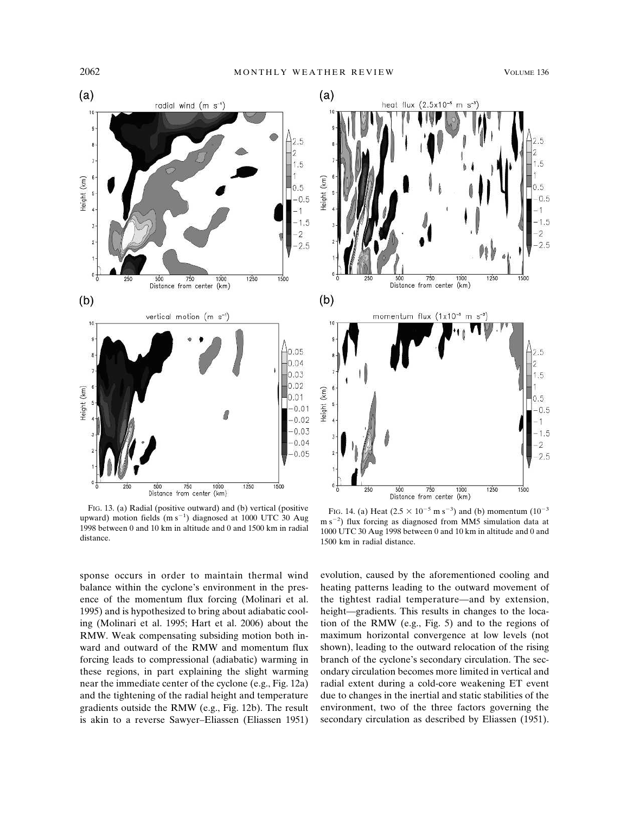

FIG. 13. (a) Radial (positive outward) and (b) vertical (positive upward) motion fields  $(m s^{-1})$  diagnosed at 1000 UTC 30 Aug 1998 between 0 and 10 km in altitude and 0 and 1500 km in radial distance.

sponse occurs in order to maintain thermal wind balance within the cyclone's environment in the presence of the momentum flux forcing (Molinari et al. 1995) and is hypothesized to bring about adiabatic cooling (Molinari et al. 1995; Hart et al. 2006) about the RMW. Weak compensating subsiding motion both inward and outward of the RMW and momentum flux forcing leads to compressional (adiabatic) warming in these regions, in part explaining the slight warming near the immediate center of the cyclone (e.g., Fig. 12a) and the tightening of the radial height and temperature gradients outside the RMW (e.g., Fig. 12b). The result is akin to a reverse Sawyer–Eliassen (Eliassen 1951)

FIG. 14. (a) Heat  $(2.5 \times 10^{-5} \text{ m s}^{-3})$  and (b) momentum  $(10^{-3}$  $\text{m s}^{-2}$ ) flux forcing as diagnosed from MM5 simulation data at 1000 UTC 30 Aug 1998 between 0 and 10 km in altitude and 0 and 1500 km in radial distance.

evolution, caused by the aforementioned cooling and heating patterns leading to the outward movement of the tightest radial temperature—and by extension, height—gradients. This results in changes to the location of the RMW (e.g., Fig. 5) and to the regions of maximum horizontal convergence at low levels (not shown), leading to the outward relocation of the rising branch of the cyclone's secondary circulation. The secondary circulation becomes more limited in vertical and radial extent during a cold-core weakening ET event due to changes in the inertial and static stabilities of the environment, two of the three factors governing the secondary circulation as described by Eliassen (1951).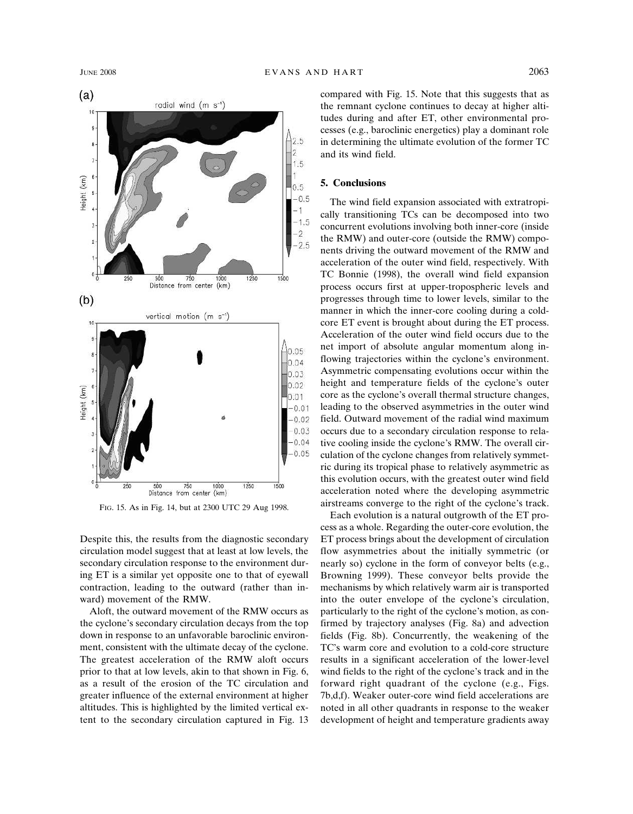

FIG. 15. As in Fig. 14, but at 2300 UTC 29 Aug 1998.

Despite this, the results from the diagnostic secondary circulation model suggest that at least at low levels, the secondary circulation response to the environment during ET is a similar yet opposite one to that of eyewall contraction, leading to the outward (rather than inward) movement of the RMW.

Aloft, the outward movement of the RMW occurs as the cyclone's secondary circulation decays from the top down in response to an unfavorable baroclinic environment, consistent with the ultimate decay of the cyclone. The greatest acceleration of the RMW aloft occurs prior to that at low levels, akin to that shown in Fig. 6, as a result of the erosion of the TC circulation and greater influence of the external environment at higher altitudes. This is highlighted by the limited vertical extent to the secondary circulation captured in Fig. 13

compared with Fig. 15. Note that this suggests that as the remnant cyclone continues to decay at higher altitudes during and after ET, other environmental processes (e.g., baroclinic energetics) play a dominant role in determining the ultimate evolution of the former TC and its wind field.

### **5. Conclusions**

The wind field expansion associated with extratropically transitioning TCs can be decomposed into two concurrent evolutions involving both inner-core (inside the RMW) and outer-core (outside the RMW) components driving the outward movement of the RMW and acceleration of the outer wind field, respectively. With TC Bonnie (1998), the overall wind field expansion process occurs first at upper-tropospheric levels and progresses through time to lower levels, similar to the manner in which the inner-core cooling during a coldcore ET event is brought about during the ET process. Acceleration of the outer wind field occurs due to the net import of absolute angular momentum along inflowing trajectories within the cyclone's environment. Asymmetric compensating evolutions occur within the height and temperature fields of the cyclone's outer core as the cyclone's overall thermal structure changes, leading to the observed asymmetries in the outer wind field. Outward movement of the radial wind maximum occurs due to a secondary circulation response to relative cooling inside the cyclone's RMW. The overall circulation of the cyclone changes from relatively symmetric during its tropical phase to relatively asymmetric as this evolution occurs, with the greatest outer wind field acceleration noted where the developing asymmetric airstreams converge to the right of the cyclone's track.

Each evolution is a natural outgrowth of the ET process as a whole. Regarding the outer-core evolution, the ET process brings about the development of circulation flow asymmetries about the initially symmetric (or nearly so) cyclone in the form of conveyor belts (e.g., Browning 1999). These conveyor belts provide the mechanisms by which relatively warm air is transported into the outer envelope of the cyclone's circulation, particularly to the right of the cyclone's motion, as confirmed by trajectory analyses (Fig. 8a) and advection fields (Fig. 8b). Concurrently, the weakening of the TC's warm core and evolution to a cold-core structure results in a significant acceleration of the lower-level wind fields to the right of the cyclone's track and in the forward right quadrant of the cyclone (e.g., Figs. 7b,d,f). Weaker outer-core wind field accelerations are noted in all other quadrants in response to the weaker development of height and temperature gradients away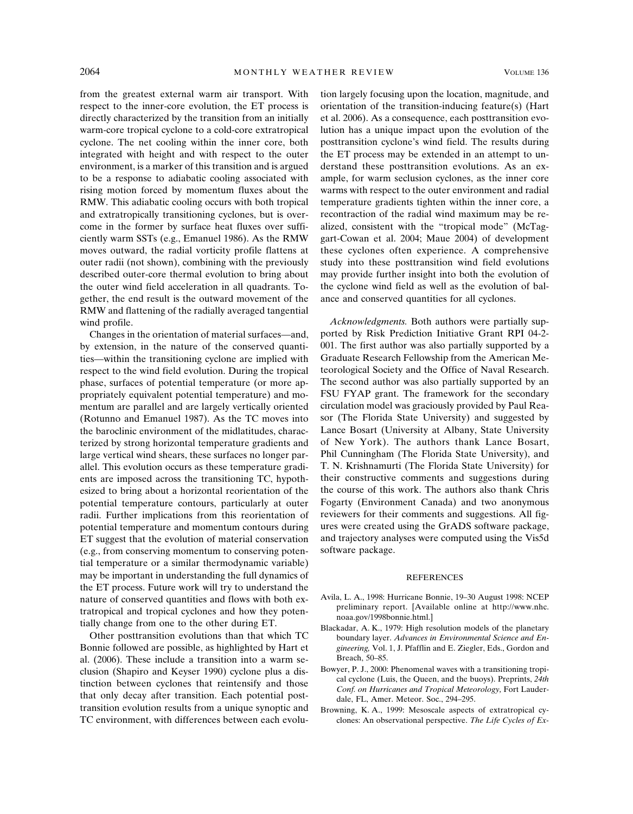from the greatest external warm air transport. With respect to the inner-core evolution, the ET process is directly characterized by the transition from an initially warm-core tropical cyclone to a cold-core extratropical cyclone. The net cooling within the inner core, both integrated with height and with respect to the outer environment, is a marker of this transition and is argued to be a response to adiabatic cooling associated with rising motion forced by momentum fluxes about the RMW. This adiabatic cooling occurs with both tropical and extratropically transitioning cyclones, but is overcome in the former by surface heat fluxes over sufficiently warm SSTs (e.g., Emanuel 1986). As the RMW moves outward, the radial vorticity profile flattens at outer radii (not shown), combining with the previously described outer-core thermal evolution to bring about the outer wind field acceleration in all quadrants. Together, the end result is the outward movement of the RMW and flattening of the radially averaged tangential wind profile.

Changes in the orientation of material surfaces—and, by extension, in the nature of the conserved quantities—within the transitioning cyclone are implied with respect to the wind field evolution. During the tropical phase, surfaces of potential temperature (or more appropriately equivalent potential temperature) and momentum are parallel and are largely vertically oriented (Rotunno and Emanuel 1987). As the TC moves into the baroclinic environment of the midlatitudes, characterized by strong horizontal temperature gradients and large vertical wind shears, these surfaces no longer parallel. This evolution occurs as these temperature gradients are imposed across the transitioning TC, hypothesized to bring about a horizontal reorientation of the potential temperature contours, particularly at outer radii. Further implications from this reorientation of potential temperature and momentum contours during ET suggest that the evolution of material conservation (e.g., from conserving momentum to conserving potential temperature or a similar thermodynamic variable) may be important in understanding the full dynamics of the ET process. Future work will try to understand the nature of conserved quantities and flows with both extratropical and tropical cyclones and how they potentially change from one to the other during ET.

Other posttransition evolutions than that which TC Bonnie followed are possible, as highlighted by Hart et al. (2006). These include a transition into a warm seclusion (Shapiro and Keyser 1990) cyclone plus a distinction between cyclones that reintensify and those that only decay after transition. Each potential posttransition evolution results from a unique synoptic and TC environment, with differences between each evolution largely focusing upon the location, magnitude, and orientation of the transition-inducing feature(s) (Hart et al. 2006). As a consequence, each posttransition evolution has a unique impact upon the evolution of the posttransition cyclone's wind field. The results during the ET process may be extended in an attempt to understand these posttransition evolutions. As an example, for warm seclusion cyclones, as the inner core warms with respect to the outer environment and radial temperature gradients tighten within the inner core, a recontraction of the radial wind maximum may be realized, consistent with the "tropical mode" (McTaggart-Cowan et al. 2004; Maue 2004) of development these cyclones often experience. A comprehensive study into these posttransition wind field evolutions may provide further insight into both the evolution of the cyclone wind field as well as the evolution of balance and conserved quantities for all cyclones.

*Acknowledgments.* Both authors were partially supported by Risk Prediction Initiative Grant RPI 04-2- 001. The first author was also partially supported by a Graduate Research Fellowship from the American Meteorological Society and the Office of Naval Research. The second author was also partially supported by an FSU FYAP grant. The framework for the secondary circulation model was graciously provided by Paul Reasor (The Florida State University) and suggested by Lance Bosart (University at Albany, State University of New York). The authors thank Lance Bosart, Phil Cunningham (The Florida State University), and T. N. Krishnamurti (The Florida State University) for their constructive comments and suggestions during the course of this work. The authors also thank Chris Fogarty (Environment Canada) and two anonymous reviewers for their comments and suggestions. All figures were created using the GrADS software package, and trajectory analyses were computed using the Vis5d software package.

#### **REFERENCES**

- Avila, L. A., 1998: Hurricane Bonnie, 19–30 August 1998: NCEP preliminary report. [Available online at http://www.nhc. noaa.gov/1998bonnie.html.]
- Blackadar, A. K., 1979: High resolution models of the planetary boundary layer. *Advances in Environmental Science and Engineering,* Vol. 1, J. Pfafflin and E. Ziegler, Eds., Gordon and Breach, 50–85.
- Bowyer, P. J., 2000: Phenomenal waves with a transitioning tropical cyclone (Luis, the Queen, and the buoys). Preprints, *24th Conf. on Hurricanes and Tropical Meteorology,* Fort Lauderdale, FL, Amer. Meteor. Soc., 294–295.
- Browning, K. A., 1999: Mesoscale aspects of extratropical cyclones: An observational perspective. *The Life Cycles of Ex-*